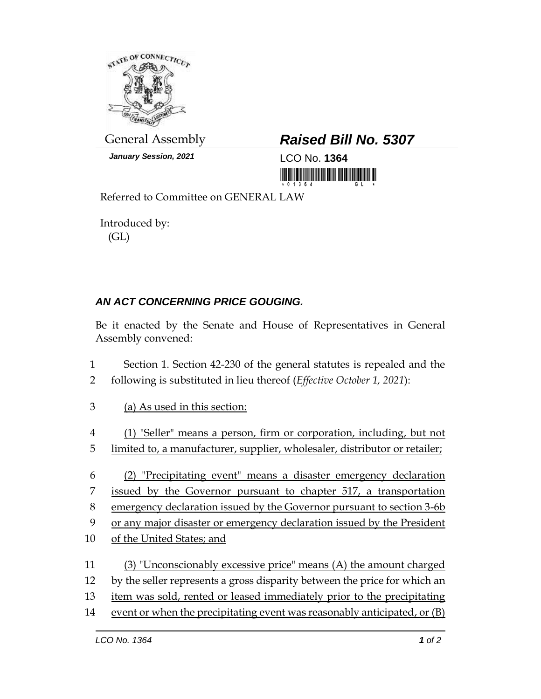

*January Session, 2021* 1 CO No. **1364** 

## General Assembly *Raised Bill No. 5307*

<u> III maarta ka mid ah dhina maanaa ka mid ah dhina maanaa ka mid ah dhina maanaa ka mid ah dhina maanaa ka mid</u>

Referred to Committee on GENERAL LAW

Introduced by: (GL)

## *AN ACT CONCERNING PRICE GOUGING.*

Be it enacted by the Senate and House of Representatives in General Assembly convened:

- 1 Section 1. Section 42-230 of the general statutes is repealed and the 2 following is substituted in lieu thereof (*Effective October 1, 2021*):
- 3 (a) As used in this section:
- 4 (1) "Seller" means a person, firm or corporation, including, but not 5 limited to, a manufacturer, supplier, wholesaler, distributor or retailer;
- 6 (2) "Precipitating event" means a disaster emergency declaration 7 issued by the Governor pursuant to chapter 517, a transportation 8 emergency declaration issued by the Governor pursuant to section 3-6b
- 9 or any major disaster or emergency declaration issued by the President
- 10 of the United States; and
- 11 (3) "Unconscionably excessive price" means (A) the amount charged
- 12 by the seller represents a gross disparity between the price for which an
- 13 item was sold, rented or leased immediately prior to the precipitating
- 14 event or when the precipitating event was reasonably anticipated, or (B)